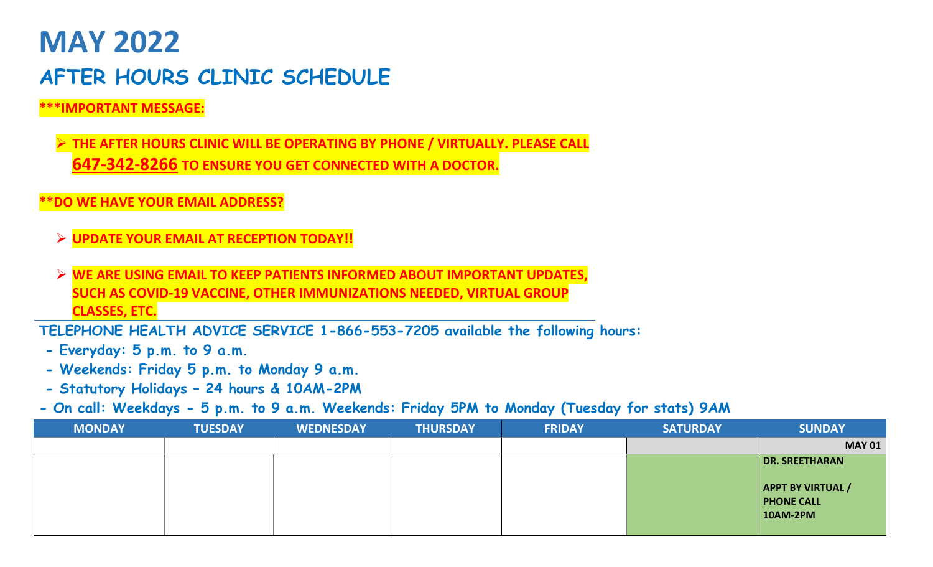## **MAY 2022 AFTER HOURS CLINIC SCHEDULE**

## **\*\*\*IMPORTANT MESSAGE:**

➢ **THE AFTER HOURS CLINIC WILL BE OPERATING BY PHONE / VIRTUALLY. PLEASE CALL 647-342-8266 TO ENSURE YOU GET CONNECTED WITH A DOCTOR.** 

## **\*\*DO WE HAVE YOUR EMAIL ADDRESS?**

- ➢ **UPDATE YOUR EMAIL AT RECEPTION TODAY!!**
- ➢ **WE ARE USING EMAIL TO KEEP PATIENTS INFORMED ABOUT IMPORTANT UPDATES, SUCH AS COVID-19 VACCINE, OTHER IMMUNIZATIONS NEEDED, VIRTUAL GROUP CLASSES, ETC.**

**TELEPHONE HEALTH ADVICE SERVICE 1-866-553-7205 available the following hours:**

- **- Everyday: 5 p.m. to 9 a.m.**
- **- Weekends: Friday 5 p.m. to Monday 9 a.m.**
- **- Statutory Holidays – 24 hours & 10AM-2PM**

**- On call: Weekdays - 5 p.m. to 9 a.m. Weekends: Friday 5PM to Monday (Tuesday for stats) 9AM**

| <b>SUNDAY</b>            | <b>SATURDAY</b> | <b>FRIDAY</b> | <b>THURSDAY</b> | <b>WEDNESDAY</b> | <b>TUESDAY</b> | <b>MONDAY</b> |
|--------------------------|-----------------|---------------|-----------------|------------------|----------------|---------------|
| <b>MAY 01</b>            |                 |               |                 |                  |                |               |
| <b>DR. SREETHARAN</b>    |                 |               |                 |                  |                |               |
|                          |                 |               |                 |                  |                |               |
| <b>APPT BY VIRTUAL /</b> |                 |               |                 |                  |                |               |
| <b>PHONE CALL</b>        |                 |               |                 |                  |                |               |
| <b>10AM-2PM</b>          |                 |               |                 |                  |                |               |
|                          |                 |               |                 |                  |                |               |